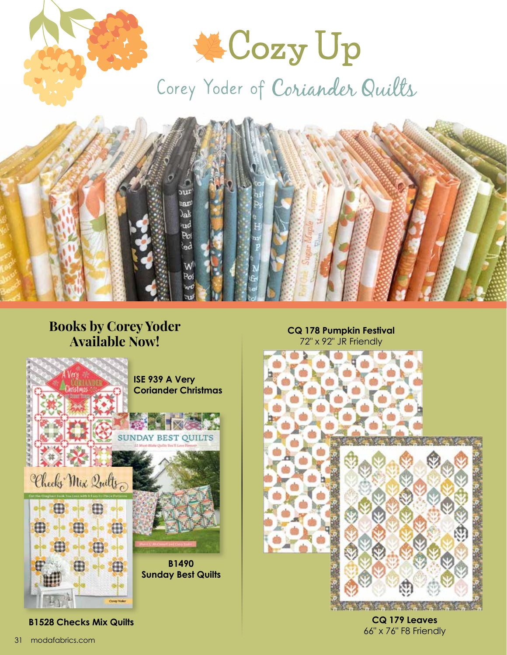

## **Books by Corey Yoder Available Now!**



**B1528 Checks Mix Quilts**

**CQ 178 Pumpkin Festival** 72" x 92" JR Friendly



**CQ 179 Leaves** 66" x 76" F8 Friendly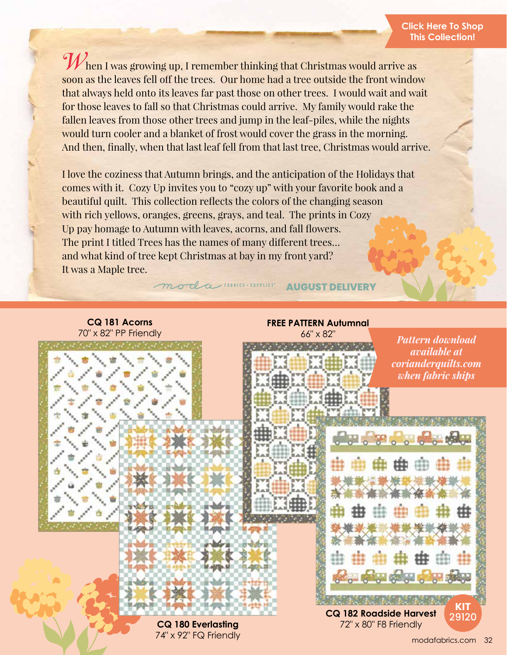When I was growing up, I remember thinking that Christmas would arrive as soon as the leaves fell off the trees. Our home had a tree outside the front window that always held onto its leaves far past those on other trees. I would wait and wait for those leaves to fall so that Christmas could arrive. My family would rake the fallen leaves from those other trees and jump in the leaf-piles, while the nights would turn cooler and a blanket of frost would cover the grass in the morning. And then, finally, when that last leaf fell from that last tree, Christmas would arrive.

I love the coziness that Autumn brings, and the anticipation of the Holidays that comes with it. Cozy Up invites you to "cozy up" with your favorite book and a beautiful quilt. This collection reflects the colors of the changing season with rich yellows, oranges, greens, grays, and teal. The prints in Cozy Up pay homage to Autumn with leaves, acorns, and fall flowers. The print I titled Trees has the names of many different trees… and what kind of tree kept Christmas at bay in my front yard? It was a Maple tree.

moda FABRICS + SUPPLIES

**AUGUST DELIVERY**

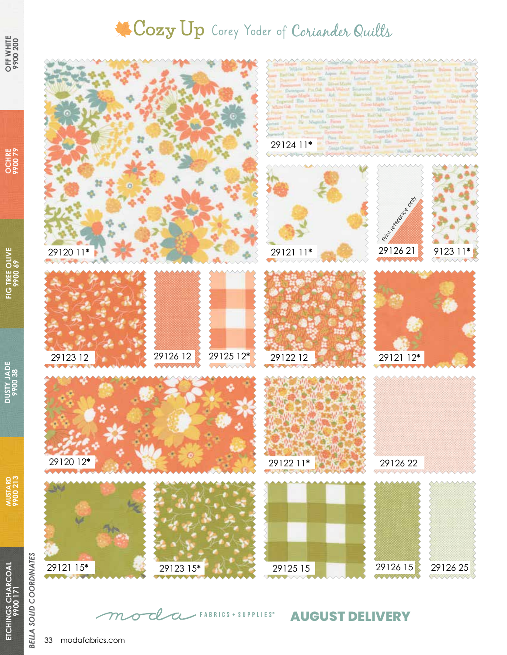## Cozy Up Corey Yoder of Coriander Quilts



## **AUGUST DELIVERY**

**OCHRE 9900 79**

**DUSTY JADE 9900 38**

> **ETCHINGS CHARCOAL ETCHINGS CHARCOAL**

**MUSTARD 9900 213**

**MUSTARD**<br>9900 213

**FIG TREE OLIVE PIG TREE OLIVE**